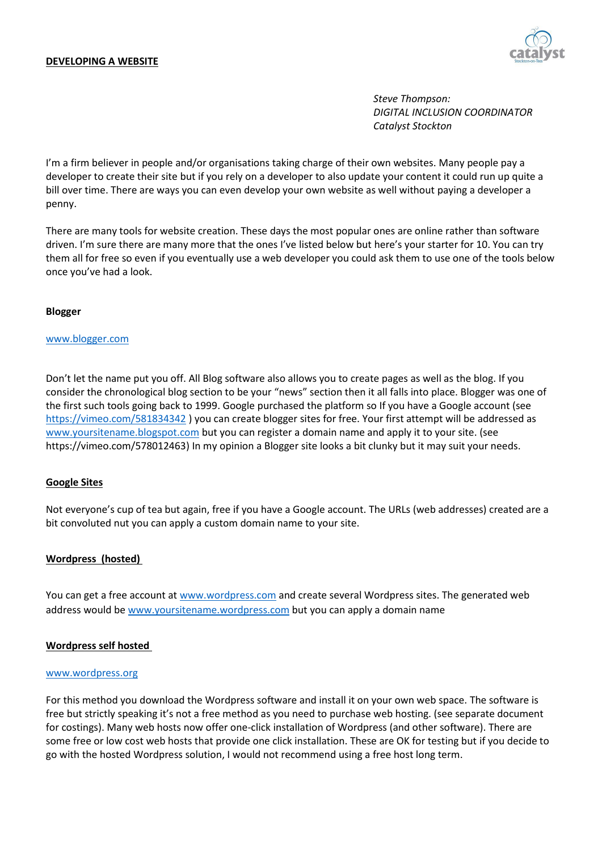

*Steve Thompson: DIGITAL INCLUSION COORDINATOR Catalyst Stockton*

I'm a firm believer in people and/or organisations taking charge of their own websites. Many people pay a developer to create their site but if you rely on a developer to also update your content it could run up quite a bill over time. There are ways you can even develop your own website as well without paying a developer a penny.

There are many tools for website creation. These days the most popular ones are online rather than software driven. I'm sure there are many more that the ones I've listed below but here's your starter for 10. You can try them all for free so even if you eventually use a web developer you could ask them to use one of the tools below once you've had a look.

## **Blogger**

### [www.blogger.com](http://www.blogger.com/)

Don't let the name put you off. All Blog software also allows you to create pages as well as the blog. If you consider the chronological blog section to be your "news" section then it all falls into place. Blogger was one of the first such tools going back to 1999. Google purchased the platform so If you have a Google account (see <https://vimeo.com/581834342> ) you can create blogger sites for free. Your first attempt will be addressed as [www.yoursitename.blogspot.com](http://www.yoursitename.blogspot.com/) but you can register a domain name and apply it to your site. (see https://vimeo.com/578012463) In my opinion a Blogger site looks a bit clunky but it may suit your needs.

# **Google Sites**

Not everyone's cup of tea but again, free if you have a Google account. The URLs (web addresses) created are a bit convoluted nut you can apply a custom domain name to your site.

#### **Wordpress (hosted)**

You can get a free account a[t www.wordpress.com](http://www.wordpress.com/) and create several Wordpress sites. The generated web address would b[e www.yoursitename.wordpress.com](http://www.yoursitename.wordpress.com/) but you can apply a domain name

# **Wordpress self hosted**

#### [www.wordpress.org](http://www.wordpress.org/)

For this method you download the Wordpress software and install it on your own web space. The software is free but strictly speaking it's not a free method as you need to purchase web hosting. (see separate document for costings). Many web hosts now offer one-click installation of Wordpress (and other software). There are some free or low cost web hosts that provide one click installation. These are OK for testing but if you decide to go with the hosted Wordpress solution, I would not recommend using a free host long term.